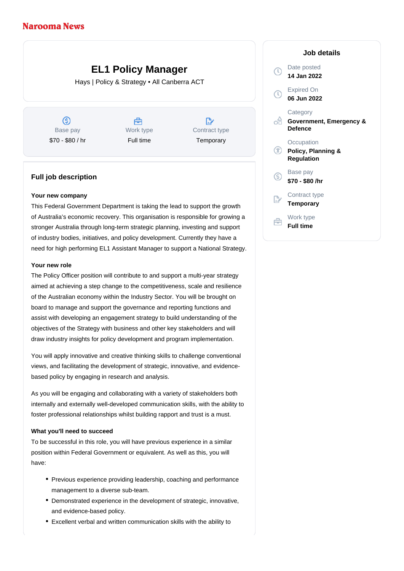# **EL1 Policy Manager**

Hays | Policy & Strategy • All Canberra ACT

ග Base pay \$70 - \$80 / hr

Å Work type Full time

 $\mathbb{R}^n$ Contract type **Temporary** 

## **Full job description**

#### **Your new company**

This Federal Government Department is taking the lead to support the growth of Australia's economic recovery. This organisation is responsible for growing a stronger Australia through long-term strategic planning, investing and support of industry bodies, initiatives, and policy development. Currently they have a need for high performing EL1 Assistant Manager to support a National Strategy.

## **Your new role**

The Policy Officer position will contribute to and support a multi-year strategy aimed at achieving a step change to the competitiveness, scale and resilience of the Australian economy within the Industry Sector. You will be brought on board to manage and support the governance and reporting functions and assist with developing an engagement strategy to build understanding of the objectives of the Strategy with business and other key stakeholders and will draw industry insights for policy development and program implementation.

You will apply innovative and creative thinking skills to challenge conventional views, and facilitating the development of strategic, innovative, and evidencebased policy by engaging in research and analysis.

As you will be engaging and collaborating with a variety of stakeholders both internally and externally well-developed communication skills, with the ability to foster professional relationships whilst building rapport and trust is a must.

## **What you'll need to succeed**

To be successful in this role, you will have previous experience in a similar position within Federal Government or equivalent. As well as this, you will have:

- Previous experience providing leadership, coaching and performance management to a diverse sub-team.
- Demonstrated experience in the development of strategic, innovative, and evidence-based policy.
- Excellent verbal and written communication skills with the ability to

# **Job details** Date posted  $\left( 0\right)$ **14 Jan 2022** Expired On  $\bigcap$ **06 Jun 2022 Category** ofi **Government, Emergency & Defence Occupation Policy, Planning & Regulation** Base pay  $\infty$ **\$70 - \$80 /hr** Contract type **Temporary** Work type **Full time**